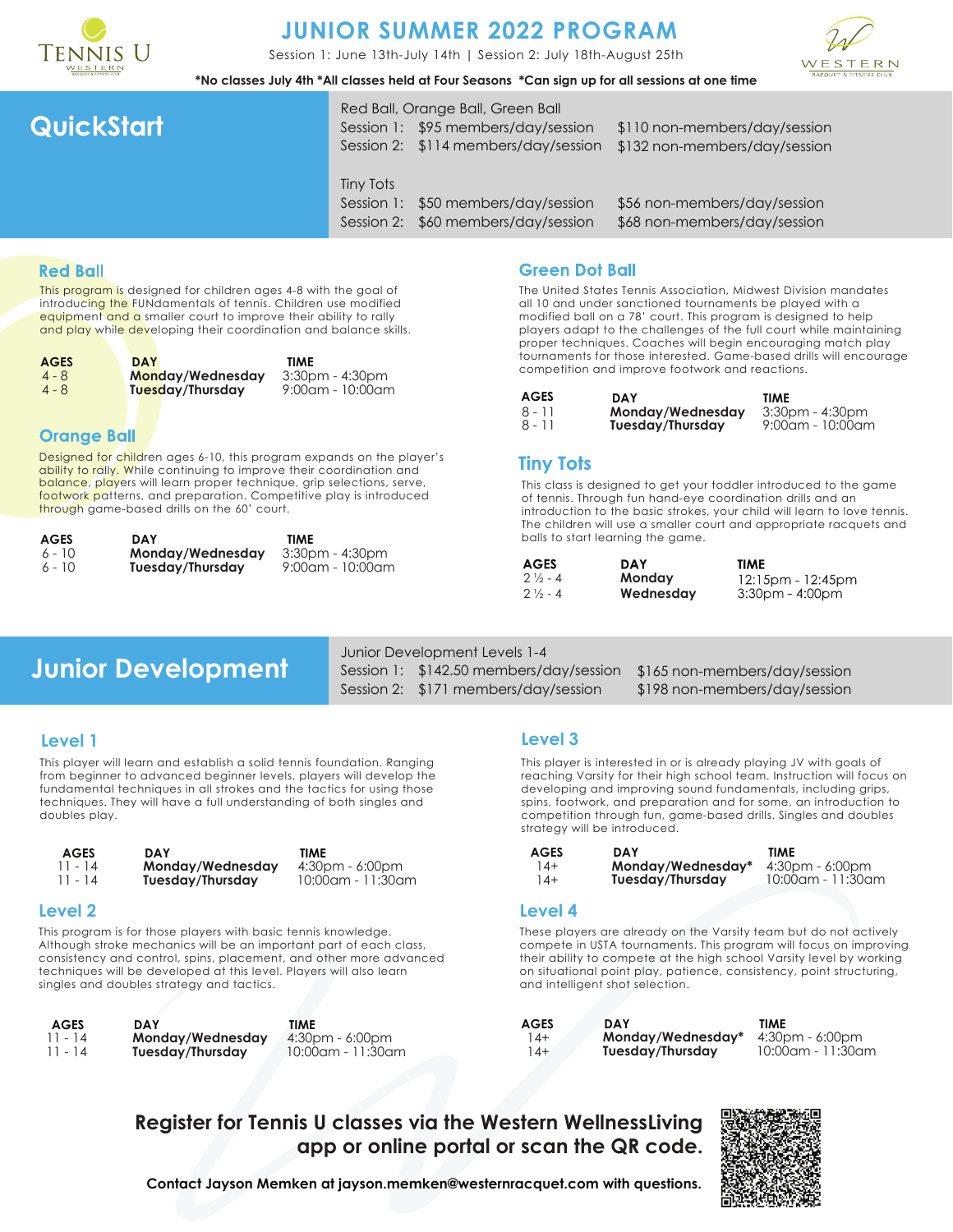

# **JUNIOR SUMMER 2022 PROGRAM**

Session 1: June 13th-July 14th | Session 2: July 18th-August 25th



**\*No classes July 4th \*All classes held at Four Seasons \*Can sign up for all sessions at one time**

# QuickStart

Red Ball, Orange Ball, Green Ball Session 1: \$95 members/day/session Session 2: \$114 members/day/session

\$110 non-members/day/session \$132 non-members/day/session

Tiny Tots

Session 1: \$50 members/day/session Session 2: \$60 members/day/session \$56 non-members/day/session \$68 non-members/day/session

### **Red Ball**

This program is designed for children ages 4-8 with the goal of introducing the FUNdamentals of tennis. Children use modified equipment and a smaller court to improve their ability to rally and play while developing their coordination and balance skills.

| <b>AGES</b> | <b>DAY</b>       | TIME                |
|-------------|------------------|---------------------|
| $4 - 8$     | Monday/Wednesday | $3:30$ pm - 4:30pm  |
| $4 - 8$     | Tuesday/Thursday | $9:00$ am - 10:00am |

### **Orange Ball**

Designed for children ages 6-10, this program expands on the player's ability to rally. While continuing to improve their coordination and balance, players will learn proper technique, grip selections, serve, footwork patterns, and preparation. Competitive play is introduced through game-based drills on the 60' court.

| AGES     | DAY              | TIME                |
|----------|------------------|---------------------|
| $6 - 10$ | Monday/Wednesday | 3:30pm - 4:30pm     |
| $6 - 10$ | Tuesday/Thursday | $9:00$ am - 10:00am |

### **Green Dot Ball**

The United States Tennis Association, Midwest Division mandates all 10 and under sanctioned tournaments be played with a modified ball on a 78' court. This program is designed to help players adapt to the challenges of the full court while maintaining proper techniques. Coaches will begin encouraging match play tournaments for those interested. Game-based drills will encourage competition and improve footwork and reactions.

| AGES   | DAY              | TIME                |
|--------|------------------|---------------------|
| 8 - 11 | Monday/Wednesday | $3:30$ pm - 4:30pm  |
| 8 - 11 | Tuesday/Thursday | $9:00$ am - 10:00am |

### **Tiny Tots**

7

This class is designed to get your toddler introduced to the game of tennis. Through fun hand-eye coordination drills and an introduction to the basic strokes, your child will learn to love tennis. The children will use a smaller court and appropriate racquets and balls to start learning the game.

| <b>AGES</b>        | <b>DAY</b> | <b>TIME</b>             |
|--------------------|------------|-------------------------|
| $2\frac{1}{2}$ - 4 | Monday     | $12:15$ pm - $12:45$ pm |
| $2\frac{1}{2}$ - 4 | Wednesday  | $3:30$ pm - 4:00pm      |

# **Junior Development**

Junior Development Levels 1-4 Session 1: \$142.50 members/day/session Session 2: \$171 members/day/session

\$165 non-members/day/session \$198 non-members/day/session

### **Level 1**

This player will learn and establish a solid tennis foundation. Ranging from beginner to advanced beginner levels, players will develop the fundamental techniques in all strokes and the tactics for using those techniques. They will have a full understanding of both singles and doubles play.

| <b>AGES</b> | <b>DAY</b>       | TIME              |
|-------------|------------------|-------------------|
| $11 - 14$   | Monday/Wednesday | 4:30pm - 6:00pm   |
| $11 - 14$   | Tuesday/Thursday | 10:00am - 11:30am |

#### **Level 2**

This program is for those players with basic tennis knowledge. Although stroke mechanics will be an important part of each class, consistency and control, spins, placement, and other more advanced techniques will be developed at this level. Players will also learn singles and doubles strategy and tactics.

11 - 14 11 - 14 **Monday/Wednesday Tuesday/Thursday AGES DAY TIME**

4:30pm - 6:00pm 10:00am - 11:30am

#### **Level 3**

This player is interested in or is already playing JV with goals of reaching Varsity for their high school team. Instruction will focus on developing and improving sound fundamentals, including grips, spins, footwork, and preparation and for some, an introduction to competition through fun, game-based drills. Singles and doubles strategy will be introduced.

| AGES  | <b>DAY</b>        | TIME              |
|-------|-------------------|-------------------|
| $14+$ | Monday/Wednesday* | $4:30pm - 6:00pm$ |
| $14+$ | Tuesday/Thursday  | 10:00am - 11:30am |

#### **Level 4**

These players are already on the Varsity team but do not actively compete in USTA tournaments. This program will focus on improving their ability to compete at the high school Varsity level by working on situational point play, patience, consistency, point structuring, and intelligent shot selection.

| <b>AGES</b> | DAY               | TIME              |
|-------------|-------------------|-------------------|
| $14+$       | Monday/Wednesday* | 4:30pm - 6:00pm   |
| 14+         | Tuesday/Thursday  | 10:00am - 11:30am |
|             |                   |                   |

**Register for Tennis U classes via the Western WellnessLiving app or online portal or scan the QR code.**



**Contact Jayson Memken at jayson.memken@westernracquet.com with questions.**